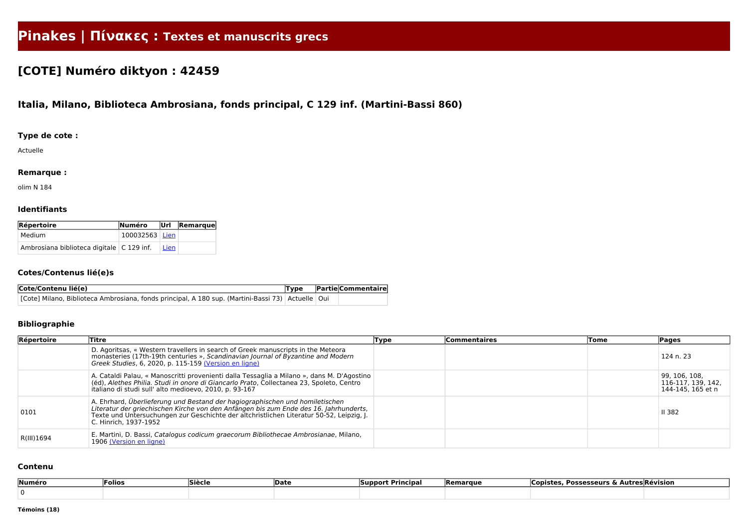# **Pinakes | Πίνακες : Textes et manuscrits grecs**

# **[COTE] Numéro diktyon : 42459**

# **Italia, Milano, Biblioteca Ambrosiana, fonds principal, C 129 inf. (Martini-Bassi 860)**

## **Type de cote :**

Actuelle

#### **Remarque :**

olim N 184

#### **Identifiants**

| Répertoire                                  | <b>Numéro</b>    |      | $ $ Url $ R$ emarque |
|---------------------------------------------|------------------|------|----------------------|
| Medium                                      | $100032563$ Lien |      |                      |
| Ambrosiana biblioteca digitale   C 129 inf. |                  | Lien |                      |

#### **Cotes/Contenus lié(e)s**

| Cote/Contenu lié(e)                                                                                   | Type | <b>Partie Commentaire</b> |
|-------------------------------------------------------------------------------------------------------|------|---------------------------|
| [Cote] Milano, Biblioteca Ambrosiana, fonds principal, A 180 sup. (Martini-Bassi 73)   Actuelle   Oui |      |                           |

## **Bibliographie**

| Répertoire | Titre                                                                                                                                                                                                                                                                                      | Type | <b>Commentaires</b> | Tome | <b>Pages</b>                                             |
|------------|--------------------------------------------------------------------------------------------------------------------------------------------------------------------------------------------------------------------------------------------------------------------------------------------|------|---------------------|------|----------------------------------------------------------|
|            | D. Agoritsas, « Western travellers in search of Greek manuscripts in the Meteora<br>monasteries (17th-19th centuries », Scandinavian Journal of Byzantine and Modern<br>Greek Studies, 6, 2020, p. 115-159 (Version en ligne)                                                              |      |                     |      | 124 n. 23                                                |
|            | A. Cataldi Palau, « Manoscritti provenienti dalla Tessaglia a Milano », dans M. D'Agostino<br>(éd), Alethes Philia. Studi in onore di Giancarlo Prato, Collectanea 23, Spoleto, Centro<br>italiano di studi sull' alto medioevo, 2010, p. 93-167                                           |      |                     |      | 99, 106, 108,<br>116-117, 139, 142,<br>144-145, 165 et n |
| 0101       | A. Ehrhard, Überlieferung und Bestand der hagiographischen und homiletischen<br>Literatur der griechischen Kirche von den Anfängen bis zum Ende des 16. Jahrhunderts,<br>Texte und Untersuchungen zur Geschichte der altchristlichen Literatur 50-52, Leipzig, J.<br>C. Hinrich, 1937-1952 |      |                     |      | <b>II 382</b>                                            |
| R(III)1694 | E. Martini, D. Bassi, Catalogus codicum graecorum Bibliothecae Ambrosianae, Milano,<br>1906 (Version en ligne)                                                                                                                                                                             |      |                     |      |                                                          |

#### **Contenu**

| ∣Numéro | Folios | Siècle | Date | <b>Support Principal</b> | Remarque | . .<br>Copistes,<br><b>Possesseurs &amp; Autres Révision</b> |
|---------|--------|--------|------|--------------------------|----------|--------------------------------------------------------------|
|         |        |        |      |                          |          |                                                              |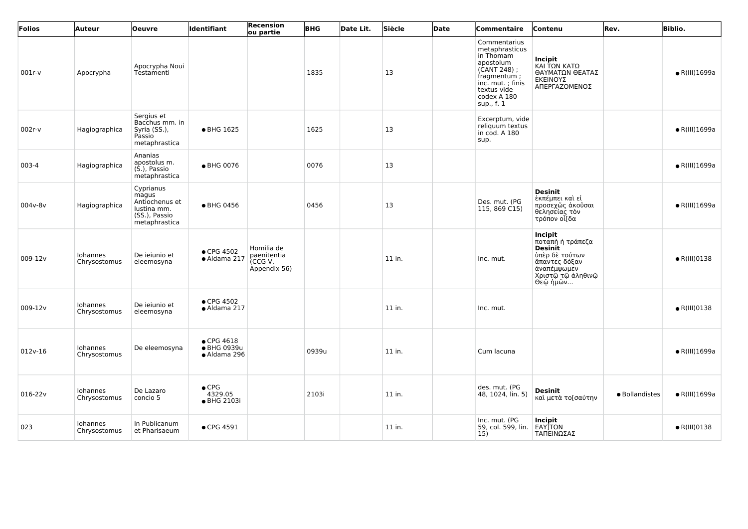| Folios      | <b>Auteur</b>            | <b>Oeuvre</b>                                                                         | <b>Identifiant</b>                                | <b>Recension</b><br>ou partie                       | <b>BHG</b> | Date Lit. | Siècle | Date | Commentaire                                                                                                                                               | Contenu                                                                                                                                 | Rev.           | <b>Biblio.</b>        |
|-------------|--------------------------|---------------------------------------------------------------------------------------|---------------------------------------------------|-----------------------------------------------------|------------|-----------|--------|------|-----------------------------------------------------------------------------------------------------------------------------------------------------------|-----------------------------------------------------------------------------------------------------------------------------------------|----------------|-----------------------|
| $001r-v$    | Apocrypha                | Apocrypha Noui<br>Testamenti                                                          |                                                   |                                                     | 1835       |           | 13     |      | Commentarius<br>metaphrasticus<br>in Thomam<br>apostolum<br>$(CANT 248)$ ;<br>fragmentum;<br>inc. mut.; finis<br>textus vide<br>codex A 180<br>sup., f. 1 | <b>Incipit</b><br>ΚΑΙ ΤΩΝ ΚΑΤΩ<br>ΘΑΥΜΑΤΩΝ ΘΕΑΤΑΣ<br>ΕΚΕΙΝΟΥΣ<br>ΑΠΕΡΓΑΖΟΜΕΝΟΣ                                                          |                | $\bullet$ R(III)1699a |
| $002r-v$    | Hagiographica            | Sergius et<br>Bacchus mm. in<br>Syria (SS.),<br>Passio<br>metaphrastica               | • BHG 1625                                        |                                                     | 1625       |           | 13     |      | Excerptum, vide<br>reliquum textus<br>in cod. A 180<br>sup.                                                                                               |                                                                                                                                         |                | $\bullet$ R(III)1699a |
| 003-4       | Hagiographica            | Ananias<br>apostolus m.<br>$(S1)$ , Passio<br>metaphrastica                           | ● BHG 0076                                        |                                                     | 0076       |           | 13     |      |                                                                                                                                                           |                                                                                                                                         |                | $\bullet$ R(III)1699a |
| 004v-8v     | Hagiographica            | Cyprianus<br>magus<br>Antiochenus et<br>lustina mm.<br>(SS.), Passio<br>metaphrastica | ● BHG 0456                                        |                                                     | 0456       |           | 13     |      | Des. mut. (PG<br>115, 869 C15)                                                                                                                            | <b>Desinit</b><br>έκπέμπει καὶ εἰ<br>προσεχῶς ἀκοῦσαι<br>θελησείας τον<br>τρόπον οἶ[δα                                                  |                | $\bullet$ R(III)1699a |
| 009-12v     | Iohannes<br>Chrysostomus | De ieiunio et<br>eleemosyna                                                           | • CPG 4502<br>· Aldama 217                        | Homilia de<br>paenitentia<br>(CCGV,<br>Appendix 56) |            |           | 11 in. |      | Inc. mut.                                                                                                                                                 | <b>Incipit</b><br>ποταπὴ ἡ τράπεζα<br><b>Desinit</b><br>ύπὲρ δὲ τούτων<br>άπαντες δόξαν<br>άναπέμψωμεν<br>Χριστῷ τῷ ἀληθινῷ<br>Θεῷ ἡμῶν |                | $\bullet$ R(III)0138  |
| 009-12v     | Iohannes<br>Chrysostomus | De ieiunio et<br>eleemosyna                                                           | $\bullet$ CPG 4502<br>· Aldama 217                |                                                     |            |           | 11 in. |      | Inc. mut.                                                                                                                                                 |                                                                                                                                         |                | $\bullet$ R(III)0138  |
| $012v-16$   | Iohannes<br>Chrysostomus | De eleemosyna                                                                         | $\bullet$ CPG 4618<br>● BHG 0939u<br>· Aldama 296 |                                                     | 0939u      |           | 11 in. |      | Cum lacuna                                                                                                                                                |                                                                                                                                         |                | $\bullet$ R(III)1699a |
| $016 - 22v$ | Iohannes<br>Chrysostomus | De Lazaro<br>concio 5                                                                 | $\bullet$ CPG<br>4329.05<br>• BHG 2103i           |                                                     | 2103i      |           | 11 in. |      | des. mut. (PG<br>48, 1024, lin. 5)                                                                                                                        | <b>Desinit</b><br>καὶ μετὰ το[σαύτην                                                                                                    | · Bollandistes | $\bullet$ R(III)1699a |
| 023         | Iohannes<br>Chrysostomus | In Publicanum<br>et Pharisaeum                                                        | • CPG 4591                                        |                                                     |            |           | 11 in. |      | Inc. mut. (PG<br>59, col. 599, lin.<br>15)                                                                                                                | Incipit<br>EAYJTON<br>ΤΑΠΕΙΝΩΣΑΣ                                                                                                        |                | $\bullet$ R(III)0138  |